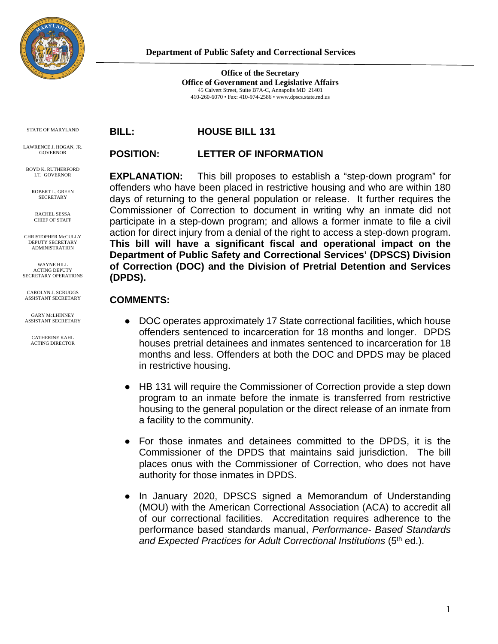

**Office of the Secretary Office of Government and Legislative Affairs** 45 Calvert Street, Suite B7A-C, Annapolis MD 21401 410-260-6070 • Fax: 410-974-2586 • www.dpscs.state.md.us

STATE OF MARYLAND

LAWRENCE J. HOGAN, JR. GOVERNOR

BOYD K. BUTHERFORD LT. GOVERNOR

> ROBERT L. GREEN **SECRETARY**

RACHEL SESSA CHIEF OF STAFF

CHRISTOPHER McCULLY DEPUTY SECRETARY ADMINISTRATION

WAYNE HILL ACTING DEPUTY SECRETARY OPERATIONS

CAROLYN J. SCRUGGS ASSISTANT SECRETARY GARY McLHINNEY

ASSISTANT SECRETARY

CATHERINE KAHL ACTING DIRECTOR **BILL: HOUSE BILL 131**

## **POSITION: LETTER OF INFORMATION**

**EXPLANATION:** This bill proposes to establish a "step-down program" for offenders who have been placed in restrictive housing and who are within 180 days of returning to the general population or release. It further requires the Commissioner of Correction to document in writing why an inmate did not participate in a step-down program; and allows a former inmate to file a civil action for direct injury from a denial of the right to access a step-down program. **This bill will have a significant fiscal and operational impact on the Department of Public Safety and Correctional Services' (DPSCS) Division of Correction (DOC) and the Division of Pretrial Detention and Services (DPDS).**

## **COMMENTS:**

- DOC operates approximately 17 State correctional facilities, which house offenders sentenced to incarceration for 18 months and longer. DPDS houses pretrial detainees and inmates sentenced to incarceration for 18 months and less. Offenders at both the DOC and DPDS may be placed in restrictive housing.
- HB 131 will require the Commissioner of Correction provide a step down program to an inmate before the inmate is transferred from restrictive housing to the general population or the direct release of an inmate from a facility to the community.
- For those inmates and detainees committed to the DPDS, it is the Commissioner of the DPDS that maintains said jurisdiction. The bill places onus with the Commissioner of Correction, who does not have authority for those inmates in DPDS.
- In January 2020, DPSCS signed a Memorandum of Understanding (MOU) with the American Correctional Association (ACA) to accredit all of our correctional facilities. Accreditation requires adherence to the performance based standards manual, *Performance- Based Standards and Expected Practices for Adult Correctional Institutions* (5th ed.).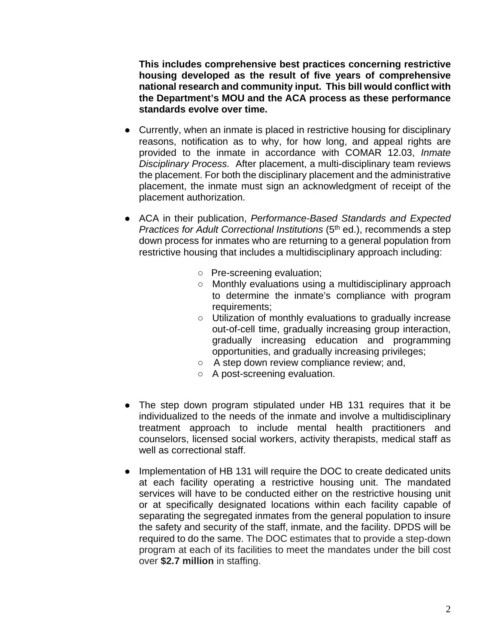**This includes comprehensive best practices concerning restrictive housing developed as the result of five years of comprehensive national research and community input. This bill would conflict with the Department's MOU and the ACA process as these performance standards evolve over time.**

- Currently, when an inmate is placed in restrictive housing for disciplinary reasons, notification as to why, for how long, and appeal rights are provided to the inmate in accordance with COMAR 12.03, *Inmate Disciplinary Process.* After placement, a multi-disciplinary team reviews the placement. For both the disciplinary placement and the administrative placement, the inmate must sign an acknowledgment of receipt of the placement authorization.
- ACA in their publication, *Performance-Based Standards and Expected Practices for Adult Correctional Institutions* (5<sup>th</sup> ed.), recommends a step down process for inmates who are returning to a general population from restrictive housing that includes a multidisciplinary approach including:
	- Pre-screening evaluation;
	- Monthly evaluations using a multidisciplinary approach to determine the inmate's compliance with program requirements;
	- Utilization of monthly evaluations to gradually increase out-of-cell time, gradually increasing group interaction, gradually increasing education and programming opportunities, and gradually increasing privileges;
	- A step down review compliance review; and,
	- A post-screening evaluation.
- The step down program stipulated under HB 131 requires that it be individualized to the needs of the inmate and involve a multidisciplinary treatment approach to include mental health practitioners and counselors, licensed social workers, activity therapists, medical staff as well as correctional staff.
- Implementation of HB 131 will require the DOC to create dedicated units at each facility operating a restrictive housing unit. The mandated services will have to be conducted either on the restrictive housing unit or at specifically designated locations within each facility capable of separating the segregated inmates from the general population to insure the safety and security of the staff, inmate, and the facility. DPDS will be required to do the same. The DOC estimates that to provide a step-down program at each of its facilities to meet the mandates under the bill cost over **\$2.7 million** in staffing.